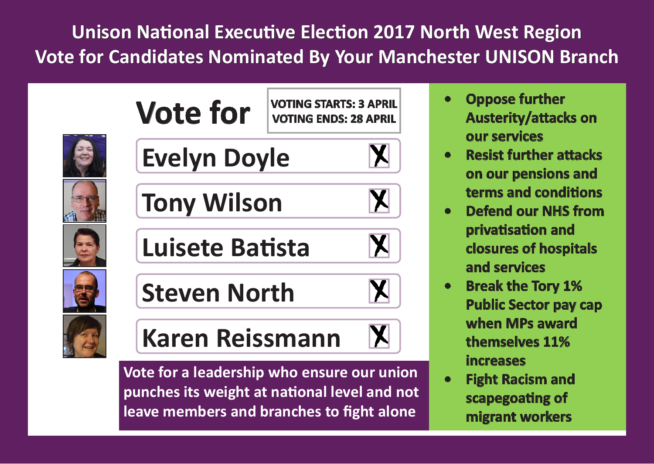**Unison National Executive Election 2017 North West Region Vote for Candidates Nominated By Your Manchester UNISON Branch**













**Tony Wilson**

**Luisete Batista**

**Steven North**



**Karen Reissmann**

**Vote for a leadership who ensure our union punches its weight at national level and not leave members and branches to fight alone**

- **• Oppose further Austerity/attacks on our services**
- **• Resist further attacks on our pensions and terms and conditions**
- **• Defend our NHS from privatisation and closures of hospitals and services**
- **• Break the Tory 1% Public Sector pay cap when MPs award themselves 11% increases**
- **• Fight Racism and scapegoating of migrant workers**